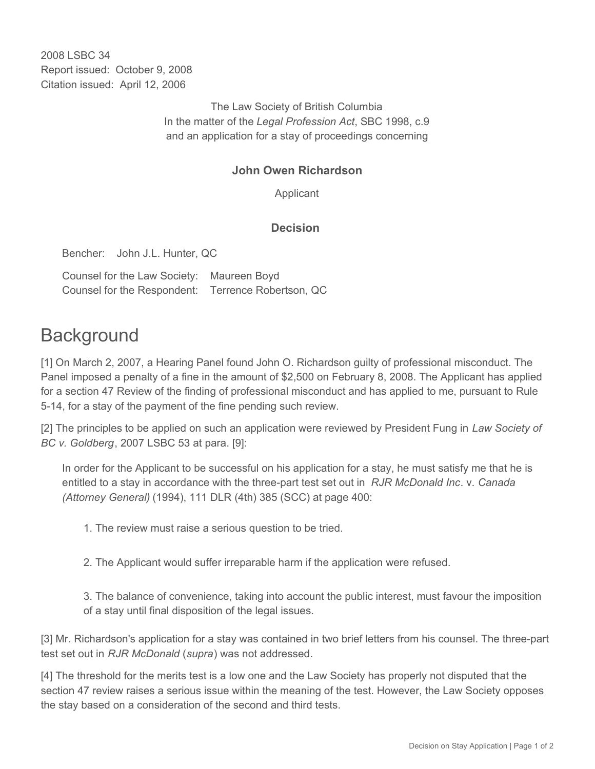2008 LSBC 34 Report issued: October 9, 2008 Citation issued: April 12, 2006

> The Law Society of British Columbia In the matter of the *Legal Profession Act*, SBC 1998, c.9 and an application for a stay of proceedings concerning

## **John Owen Richardson**

Applicant

## **Decision**

Bencher: John J.L. Hunter, QC

Counsel for the Law Society: Maureen Boyd Counsel for the Respondent: Terrence Robertson, QC

## **Background**

[1] On March 2, 2007, a Hearing Panel found John O. Richardson guilty of professional misconduct. The Panel imposed a penalty of a fine in the amount of \$2,500 on February 8, 2008. The Applicant has applied for a section 47 Review of the finding of professional misconduct and has applied to me, pursuant to Rule 5-14, for a stay of the payment of the fine pending such review.

[2] The principles to be applied on such an application were reviewed by President Fung in *Law Society of BC v. Goldberg*, 2007 LSBC 53 at para. [9]:

In order for the Applicant to be successful on his application for a stay, he must satisfy me that he is entitled to a stay in accordance with the three-part test set out in *RJR McDonald Inc*. v. *Canada (Attorney General)* (1994), 111 DLR (4th) 385 (SCC) at page 400:

1. The review must raise a serious question to be tried.

2. The Applicant would suffer irreparable harm if the application were refused.

3. The balance of convenience, taking into account the public interest, must favour the imposition of a stay until final disposition of the legal issues.

[3] Mr. Richardson's application for a stay was contained in two brief letters from his counsel. The three-part test set out in *RJR McDonald* (*supra*) was not addressed.

[4] The threshold for the merits test is a low one and the Law Society has properly not disputed that the section 47 review raises a serious issue within the meaning of the test. However, the Law Society opposes the stay based on a consideration of the second and third tests.